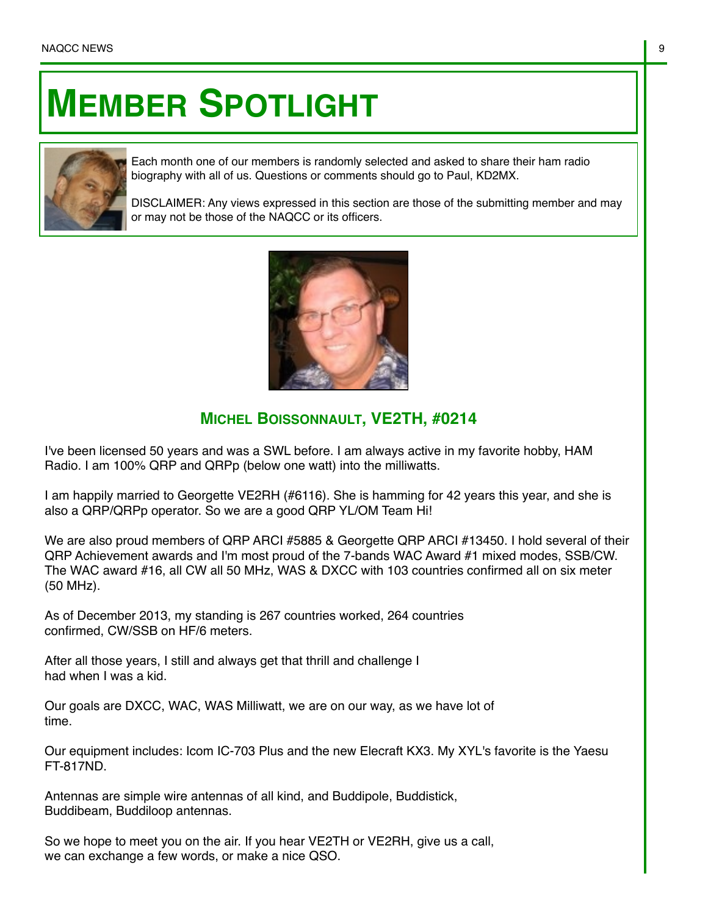## **MEMBER SPOTLIGHT**



Each month one of our members is randomly selected and asked to share their ham radio biography with all of us. Questions or comments should go to Paul, KD2MX.

DISCLAIMER: Any views expressed in this section are those of the submitting member and may or may not be those of the NAQCC or its officers.



## **MICHEL BOISSONNAULT, VE2TH, #0214**

I've been licensed 50 years and was a SWL before. I am always active in my favorite hobby, HAM Radio. I am 100% QRP and QRPp (below one watt) into the milliwatts.

I am happily married to Georgette VE2RH (#6116). She is hamming for 42 years this year, and she is also a QRP/QRPp operator. So we are a good QRP YL/OM Team Hi!

We are also proud members of QRP ARCI #5885 & Georgette QRP ARCI #13450. I hold several of their QRP Achievement awards and I'm most proud of the 7-bands WAC Award #1 mixed modes, SSB/CW. The WAC award #16, all CW all 50 MHz, WAS & DXCC with 103 countries confirmed all on six meter (50 MHz).

As of December 2013, my standing is 267 countries worked, 264 countries confirmed, CW/SSB on HF/6 meters.

After all those years, I still and always get that thrill and challenge I had when I was a kid.

Our goals are DXCC, WAC, WAS Milliwatt, we are on our way, as we have lot of time.

Our equipment includes: Icom IC-703 Plus and the new Elecraft KX3. My XYL's favorite is the Yaesu FT-817ND.

Antennas are simple wire antennas of all kind, and Buddipole, Buddistick, Buddibeam, Buddiloop antennas.

So we hope to meet you on the air. If you hear VE2TH or VE2RH, give us a call, we can exchange a few words, or make a nice QSO.